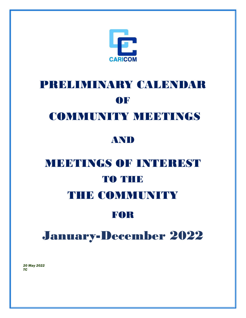

# PRELIMINARY CALENDAR OF

## COMMUNITY MEETINGS

## AND

# MEETINGS OF INTEREST TO THE THE COMMUNITY

## FOR

# January-December 2022

*20 May 2022 TC*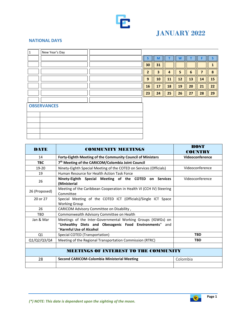

## **JANUARY 2022**

#### **NATIONAL DAYS**

 $\blacksquare$ 

| $\mathbf{1}$ | New Year's Day     |  |                |                         |                |    |    |                |                  |
|--------------|--------------------|--|----------------|-------------------------|----------------|----|----|----------------|------------------|
|              |                    |  | $\mathsf{s}$   | $\mathsf{M}$            | т              | W  | т  | F.             | S                |
|              |                    |  | 30             | 31                      |                |    |    |                | 1                |
|              |                    |  | $\overline{2}$ | $\overline{\mathbf{3}}$ | $\overline{4}$ | 5  | 6  | $\overline{7}$ | $\boldsymbol{8}$ |
|              |                    |  | 9              | 10                      | 11             | 12 | 13 | 14             | 15               |
|              |                    |  | 16             | 17                      | 18             | 19 | 20 | 21             | 22               |
|              |                    |  | 23             | 24                      | 25             | 26 | 27 | 28             | 29               |
|              |                    |  |                |                         |                |    |    |                |                  |
|              | <b>OBSERVANCES</b> |  |                |                         |                |    |    |                |                  |
|              |                    |  |                |                         |                |    |    |                |                  |
|              |                    |  |                |                         |                |    |    |                |                  |
|              |                    |  |                |                         |                |    |    |                |                  |
|              |                    |  |                |                         |                |    |    |                |                  |
|              |                    |  |                |                         |                |    |    |                |                  |
|              |                    |  |                |                         |                |    |    | <b>TLACTE</b>  |                  |

| <b>DATE</b>   | <b>COMMUNITY MEETINGS</b>                                                                                                                         | HOST<br><b>COUNTRY</b> |
|---------------|---------------------------------------------------------------------------------------------------------------------------------------------------|------------------------|
| 14            | Forty-Eighth Meeting of the Community Council of Ministers                                                                                        | Videoconference        |
| <b>TBC</b>    | 7 <sup>th</sup> Meeting of the CARICOM/Colombia Joint Council                                                                                     |                        |
| 19-20         | Ninety-Eighth Special Meeting of the COTED on Services (Officials)                                                                                | Videoconference        |
| 19            | Human Resource for Health Action Task Force                                                                                                       |                        |
| 26            | Ninety-Eighth Special Meeting of the COTED on Services<br>(Ministerial                                                                            | Videoconference        |
| 26 (Proposed) | Meeting of the Caribbean Cooperation in Health VI (CCH IV) Steering<br>Committee                                                                  |                        |
| 20 or 27      | Special Meeting of the COTED ICT (Officials)/Single ICT Space<br><b>Working Group</b>                                                             |                        |
| 26            | CARICOM Advisory Committee on Disability,                                                                                                         |                        |
| <b>TBD</b>    | Commonwealth Advisory Committee on Health                                                                                                         |                        |
| Jan & Mar     | Meetings of the Inter-Governmental Working Groups (IGWGs) on<br>"Unhealthy Diets and Obesogenic Food Environments" and<br>"Harmful Use of Alcohol |                        |
| Q1            | Special COTED (Transportation)                                                                                                                    | <b>TBD</b>             |
| Q1/Q2/Q3/Q4   | Meeting of the Regional Transportation Commission (RTRC)                                                                                          | <b>TBD</b>             |
|               |                                                                                                                                                   |                        |
|               | <b>MEETINGS OF INTEREST TO THE COMMUNITY</b>                                                                                                      |                        |
| 28            | <b>Second CARICOM-Colombia Ministerial Meeting</b>                                                                                                | Colombia               |
|               |                                                                                                                                                   |                        |



h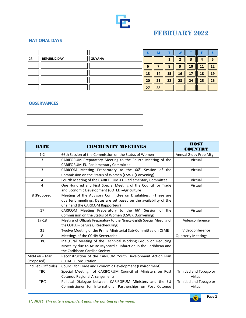

## **FEBRUARY 2022**

### **NATIONAL DAYS**

|    |                     |               |    | w  |    |    |    |    |    |
|----|---------------------|---------------|----|----|----|----|----|----|----|
| 23 | <b>REPUBLIC DAY</b> | <b>GUYANA</b> |    |    |    |    |    |    |    |
|    |                     |               |    |    |    |    | 10 | ш  | 12 |
|    |                     |               | 13 | 14 | 15 | 16 |    | 18 | 19 |
|    |                     |               | 20 | 21 | 22 | 23 | 24 | 25 | 26 |
|    |                     |               | 27 | 28 |    |    |    |    |    |

#### **OBSERVANCES**

| <b>DATE</b>                 | <b>COMMUNITY MEETINGS</b>                                                                                                                                                | <b>HOST</b><br><b>COUNTRY</b>     |
|-----------------------------|--------------------------------------------------------------------------------------------------------------------------------------------------------------------------|-----------------------------------|
| $1 - 2$                     | 66th Session of the Commission on the Status of Women                                                                                                                    | Annual 2-day Prep Mtg             |
| 3                           | CARIFORUM Preparatory Meeting to the Fourth Meeting of the<br>CARIFORUM-EU Parliamentary Committee                                                                       | Virtual                           |
| 3                           | CARICOM Meeting Preparatory to the 66 <sup>th</sup> Session of the<br>Commission on the Status of Women (CSW), (Convening)                                               | Virtual                           |
| 4                           | Fourth Meeting of the CARIFORUM-EU Parliamentary Committee                                                                                                               | Virtual                           |
| $\overline{4}$              | One Hundred and First Special Meeting of the Council for Trade<br>and Economic Development (COTED)-Agriculture                                                           | Virtual                           |
| 8 (Proposed)                | Meeting of the Advisory Committee on Disabilities. (These are<br>quarterly meetings. Dates are set based on the availability of the<br>Chair and the CARICOM Rapporteur) |                                   |
| 17                          | CARICOM Meeting Preparatory to the 66 <sup>th</sup> Session of the<br>Commission on the Status of Women (CSW), (Convening)                                               | Virtual                           |
| 17-18                       | Meeting of Officials Preparatory to the Ninety-Eighth Special Meeting of<br>the COTED - Services, (Rescheduling)                                                         | Videoconference                   |
| 21                          | Twelve Meeting of the Prime Ministerial Sub-Committee on CSME                                                                                                            | Videoconference                   |
| 8                           | Meetings of the CCHIV Secretariat                                                                                                                                        | <b>Quarterly Meetings</b>         |
| <b>TBC</b>                  | Inaugural Meeting of the Technical Working Group on Reducing<br>Mortality due to Acute Myocardial Infarction in the Caribbean and<br>the Caribbean Cardiac Society       |                                   |
| Mid-Feb - Mar<br>(Proposed) | Reconstruction of the CARICOM Youth Development Action Plan<br>(CYDAP) Consultation                                                                                      |                                   |
| End Feb (Officials)         | Council for Trade and Economic Development (Environment)                                                                                                                 |                                   |
| <b>TBC</b>                  | Special Meeting of CARIFORUM Council of Ministers on Post<br><b>Cotonou Regional Arrangements</b>                                                                        | Trinidad and Tobago or<br>virtual |
| TBC                         | Political Dialogue between CARIFORUM Ministers and the EU<br>Commissioner for International Partnerships on Post Cotonou                                                 | Trinidad and Tobago or<br>virtual |

*(\*) NOTE: This date is dependent upon the sighting of the moon.*

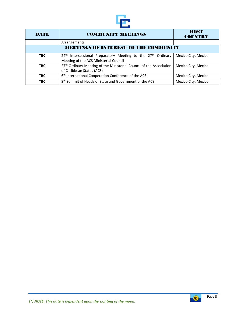

| <b>DATE</b>                                  | <b>HOST</b><br><b>COUNTRY</b>                                                                                                  |                     |  |  |  |  |  |
|----------------------------------------------|--------------------------------------------------------------------------------------------------------------------------------|---------------------|--|--|--|--|--|
|                                              | Arrangements                                                                                                                   |                     |  |  |  |  |  |
| <b>MEETINGS OF INTEREST TO THE COMMUNITY</b> |                                                                                                                                |                     |  |  |  |  |  |
| <b>TBC</b>                                   | 24 <sup>th</sup> Intersessional Preparatory Meeting to the 27 <sup>th</sup> Ordinary<br>Meeting of the ACS Ministerial Council | Mexico City, Mexico |  |  |  |  |  |
| <b>TBC</b>                                   | 27th Ordinary Meeting of the Ministerial Council of the Association<br>of Caribbean States (ACS)                               | Mexico City, Mexico |  |  |  |  |  |
| <b>TBC</b>                                   | 6 <sup>th</sup> International Cooperation Conference of the ACS                                                                | Mexico City, Mexico |  |  |  |  |  |
| <b>TBC</b>                                   | 9 <sup>th</sup> Summit of Heads of State and Government of the ACS                                                             | Mexico City, Mexico |  |  |  |  |  |

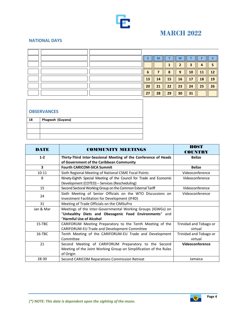

## **MARCH 2022**

#### **NATIONAL DAYS**

|  |    | м  |    |    |    |    |    |
|--|----|----|----|----|----|----|----|
|  |    |    |    |    |    |    |    |
|  | 6  |    | o  | q  | О  | 11 |    |
|  | 13 | 14 | 15 | 16 |    | 18 | 19 |
|  | 20 | 21 | 22 | 23 | 24 | 25 | 26 |
|  | 27 | 28 | 29 | 30 | 31 |    |    |

| <b>OBSERVANCES</b> |                  |  |  |  |  |  |
|--------------------|------------------|--|--|--|--|--|
| 18                 | Phagwah (Guyana) |  |  |  |  |  |
|                    |                  |  |  |  |  |  |
|                    |                  |  |  |  |  |  |
|                    |                  |  |  |  |  |  |

| <b>DATE</b>             | <b>COMMUNITY MEETINGS</b>                                                                                                                         | <b>HOST</b><br><b>COUNTRY</b>     |
|-------------------------|---------------------------------------------------------------------------------------------------------------------------------------------------|-----------------------------------|
| $1 - 2$                 | Thirty-Third Inter-Sessional Meeting of the Conference of Heads<br>of Government of the Caribbean Community                                       | <b>Belize</b>                     |
| $\overline{\mathbf{3}}$ | <b>Fourth CARICOM-SICA Summit</b>                                                                                                                 | <b>Belize</b>                     |
| $10 - 11$               | Sixth Regional Meeting of National CSME Focal Points                                                                                              | Videoconference                   |
| 8                       | Ninety-Eighth Special Meeting of the Council for Trade and Economic<br>Development (COTED) - Services (Rescheduling)                              | Videoconference                   |
| 15                      | Second Sectoral Working Group on the Common External Tariff                                                                                       | Videoconference                   |
| 24                      | Sixth Meeting of Senior Officials on the WTO Discussions on<br>Investment Facilitation for Development (IF4D)                                     | Videoconference                   |
| 31                      | Meeting of Trade Officials on the CIMSuPro                                                                                                        |                                   |
| Jan & Mar               | Meetings of the Inter-Governmental Working Groups (IGWGs) on<br>"Unhealthy Diets and Obesogenic Food Environments" and<br>"Harmful Use of Alcohol |                                   |
| 15-TBC                  | CARIFORUM Meeting Preparatory to the Tenth Meeting of the<br>CARIFORUM-EU Trade and Development Committee                                         | Trinidad and Tobago or<br>virtual |
| 16-TBC                  | Tenth Meeting of the CARIFORUM-EU Trade and Development<br>Committee                                                                              | Trinidad and Tobago or<br>virtual |
| 21                      | Second Meeting of CARIFORUM Preparatory to the Second<br>Meeting of the Joint Working Group on Simplification of the Rules<br>of Origin           | Videoconference                   |
| 28-30                   | Second CARICOM Reparations Commission Retreat                                                                                                     | Jamaica                           |



 $E$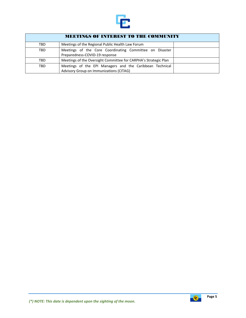

| <b>MEETINGS OF INTEREST TO THE COMMUNITY</b> |                                                                                                     |  |  |  |  |  |
|----------------------------------------------|-----------------------------------------------------------------------------------------------------|--|--|--|--|--|
| TBD                                          | Meetings of the Regional Public Health Law Forum                                                    |  |  |  |  |  |
| <b>TBD</b>                                   | Meetings of the Core Coordinating Committee on Disaster<br>Preparedness-COVID-19 response           |  |  |  |  |  |
| <b>TBD</b>                                   | Meetings of the Oversight Committee for CARPHA's Strategic Plan                                     |  |  |  |  |  |
| <b>TBD</b>                                   | Meetings of the EPI Managers and the Caribbean Technical<br>Advisory Group on Immunizations (CITAG) |  |  |  |  |  |

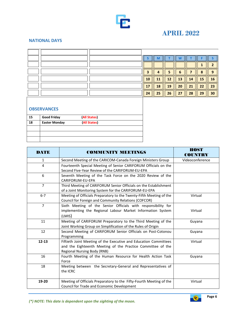

## **APRIL 2022**

#### **NATIONAL DAYS**

|  |    | M  |    |    |    |    |    |
|--|----|----|----|----|----|----|----|
|  |    |    |    |    |    |    |    |
|  |    |    |    | n  |    |    |    |
|  | 10 | 11 | 12 | 13 | ч  | 15 | 16 |
|  |    | 18 | 19 | 20 | 21 | 22 | 23 |
|  | 24 | 25 | 26 | 27 | 28 | 29 | 30 |

| 15 | <b>Good Friday</b>   | (All States) |  |
|----|----------------------|--------------|--|
| 18 | <b>Easter Monday</b> | (All States) |  |
|    |                      |              |  |
|    |                      |              |  |
|    |                      |              |  |

| <b>DATE</b>    | <b>COMMUNITY MEETINGS</b>                                                                                                                                             | <b>HOST</b><br>COUNTRY |
|----------------|-----------------------------------------------------------------------------------------------------------------------------------------------------------------------|------------------------|
| $\mathbf{1}$   | Second Meeting of the CARICOM-Canada Foreign Ministers Group                                                                                                          | Videoconference        |
| 4              | Fourteenth Special Meeting of Senior CARIFORUM Officials on the<br>Second Five-Year Review of the CARIFORUM-EU-EPA                                                    |                        |
| 6              | Seventh Meeting of the Task Force on the 2020 Review of the<br>CARIFORUM-EU-EPA                                                                                       |                        |
| $\overline{7}$ | Third Meeting of CARIFORUM Senior Officials on the Establishment<br>of a Joint Monitoring System for the CARIFORUM-EU-EPA                                             |                        |
| $6 - 7$        | Meeting of Officials Preparatory to the Twenty-Fifth Meeting of the<br>Council for Foreign and Community Relations (COFCOR)                                           | Virtual                |
| $\overline{7}$ | Sixth Meeting of the Senior Officials with responsibility for<br>implementing the Regional Labour Market Information System<br>(LMIS)                                 | Virtual                |
| 11             | Meeting of CARIFORUM Preparatory to the Third Meeting of the<br>Joint Working Group on Simplification of the Rules of Origin                                          | Guyana                 |
| 12             | Second Meeting of CARIFORUM Senior Officials on Post-Cotonou<br>Programming                                                                                           | Guyana                 |
| $12 - 13$      | Fiftieth Joint Meeting of the Executive and Education Committees<br>and the Eighteenth Meeting of the Practice Committee of the<br><b>Regional Nursing Body (RNB)</b> | Virtual                |
| 16             | Fourth Meeting of the Human Resource for Health Action Task<br>Force                                                                                                  | Guyana                 |
| 18             | Meeting between the Secretary-General and Representatives of<br>the ICRC                                                                                              |                        |
| 19-20          | Meeting of Officials Preparatory to the Fifty-Fourth Meeting of the<br>Council for Trade and Economic Development                                                     | Virtual                |

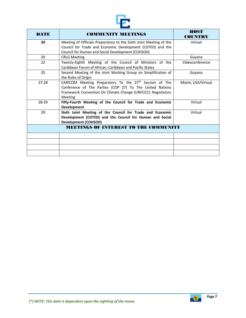

| <b>DATE</b>                                  | <b>COMMUNITY MEETINGS</b>                                                                                                                                                                                 | HOST<br>COUNTRY    |  |  |  |
|----------------------------------------------|-----------------------------------------------------------------------------------------------------------------------------------------------------------------------------------------------------------|--------------------|--|--|--|
| 20                                           | Meeting of Officials Preparatory to the Sixth Joint Meeting of the<br>Council for Trade and Economic Development (COTED) and the<br>Council for Human and Social Development (COHSOD)                     | Virtual            |  |  |  |
| 20                                           | <b>CRLG Meeting</b>                                                                                                                                                                                       | Guyana             |  |  |  |
| 22                                           | Twenty-Eighth Meeting of the Council of Ministers of the<br>Caribbean Forum of African, Caribbean and Pacific States                                                                                      | Videoconference    |  |  |  |
| 25                                           | Second Meeting of the Joint Working Group on Simplification of<br>the Rules of Origin                                                                                                                     | Guyana             |  |  |  |
| $27 - 28$                                    | CARICOM Meeting Preparatory To the 27 <sup>th</sup> Session of The<br>Conference of The Parties (COP 27) To The United Nations<br>Framework Convention On Climate Change (UNFCCC): Negotiators<br>Meeting | Miami, USA/Virtual |  |  |  |
| 28-29                                        | Fifty-Fourth Meeting of the Council for Trade and Economic<br><b>Development</b>                                                                                                                          | Virtual            |  |  |  |
| 29                                           | Sixth Joint Meeting of the Council for Trade and Economic<br>Development (COTED) and the Council for Human and Social<br><b>Development (COHSOD)</b>                                                      | Virtual            |  |  |  |
| <b>MEETINGS OF INTEREST TO THE COMMUNITY</b> |                                                                                                                                                                                                           |                    |  |  |  |
|                                              |                                                                                                                                                                                                           |                    |  |  |  |
|                                              |                                                                                                                                                                                                           |                    |  |  |  |
|                                              |                                                                                                                                                                                                           |                    |  |  |  |

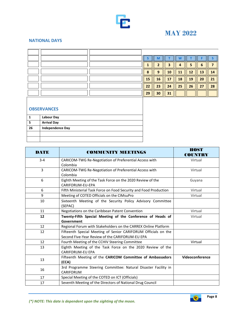

## **MAY 2022**

#### **NATIONAL DAYS**

|  |                | M  |    |    |                 |    |    |
|--|----------------|----|----|----|-----------------|----|----|
|  |                |    |    | Д  |                 |    |    |
|  | $\bullet$<br>ο | q  | 10 |    | 12 <sup>7</sup> | 13 | 4  |
|  | 15             | 16 | 17 | 18 | 19              | 20 | 21 |
|  | 22             | 23 | 24 | 25 | 26              | 27 | 28 |
|  | 29             | 30 | 31 |    |                 |    |    |

|    | <b>Labour Day</b>       |
|----|-------------------------|
|    | <b>Arrival Day</b>      |
| 26 | <b>Independence Day</b> |
|    |                         |
|    |                         |

| <b>DATE</b> | <b>COMMUNITY MEETINGS</b>                                                                                         | <b>HOST</b><br><b>COUNTRY</b> |
|-------------|-------------------------------------------------------------------------------------------------------------------|-------------------------------|
| $3 - 4$     | CARICOM-TWG Re-Negotiation of Preferential Access with<br>Colombia                                                | Virtual                       |
| 3           | CARICOM-TWG Re-Negotiation of Preferential Access with<br>Colombia                                                | Virtual                       |
| 6           | Eighth Meeting of the Task Force on the 2020 Review of the<br>CARIFORUM-EU-EPA                                    | Guyana                        |
| 6           | Fifth Ministerial Task Force on Food Security and Food Production                                                 | Virtual                       |
| 9           | Meeting of COTED Officials on the CIMsuPro                                                                        | Virtual                       |
| 10          | Sixteenth Meeting of the Security Policy Advisory Committee<br>(SEPAC)                                            |                               |
| 11          | Negotiations on the Caribbean Patent Convention                                                                   | Virtual                       |
| 12          | Twenty-Fifth Special Meeting of the Conference of Heads of<br>Government                                          | Virtual                       |
| 12          | Regional Forum with Stakeholders on the CARREX Online Platform                                                    |                               |
| 12          | Fifteenth Special Meeting of Senior CARIFORUM Officials on the<br>Second Five-Year Review of the CARIFORUM-EU EPA |                               |
| 12          | Fourth Meeting of the CCHIV Steering Committee                                                                    | Virtual                       |
| 13          | Eighth Meeting of the Task Force on the 2020 Review of the<br><b>CARIFORUM-EU EPA</b>                             |                               |
| 13          | Fifteenth Meeting of the CARICOM Committee of Ambassadors<br>(CCA)                                                | Videoconference               |
| 16          | 3rd Programme Steering Committee: Natural Disaster Facility in<br>CARIFORUM                                       |                               |
| 17          | Special Meeting of the COTED on ICT (Officials)                                                                   |                               |
| 17          | Seventh Meeting of the Directors of National Drug Council                                                         |                               |

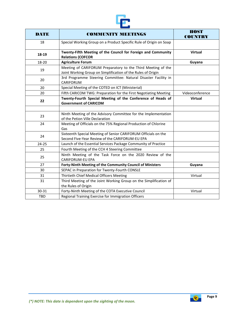

| DATE       | <b>COMMUNITY MEETINGS</b>                                                                                                    | <b>HOST</b><br><b>COUNTRY</b> |  |  |  |
|------------|------------------------------------------------------------------------------------------------------------------------------|-------------------------------|--|--|--|
| 18         | Special Working Group on a Product Specific Rule of Origin on Soap                                                           |                               |  |  |  |
| 18-19      | Twenty-Fifth Meeting of the Council for Foreign and Community<br><b>Relations (COFCOR</b>                                    | <b>Virtual</b>                |  |  |  |
| 18-20      | <b>Agriculture Forum</b>                                                                                                     | Guyana                        |  |  |  |
| 19         | Meeting of CARIFORUM Preparatory to the Third Meeting of the<br>Joint Working Group on Simplification of the Rules of Origin |                               |  |  |  |
| 20         | 3rd Programme Steering Committee: Natural Disaster Facility in<br>CARIFORUM                                                  |                               |  |  |  |
| 20         | Special Meeting of the COTED on ICT (Ministerial)                                                                            |                               |  |  |  |
| 20         | Fifth CARICOM TWG: Preparation for the First Negotiating Meeting                                                             | Videoconference               |  |  |  |
| 22         | Twenty-Fourth Special Meeting of the Conference of Heads of<br><b>Government of CARICOM</b>                                  | <b>Virtual</b>                |  |  |  |
|            |                                                                                                                              |                               |  |  |  |
| 23         | Ninth Meeting of the Advisory Committee for the Implementation<br>of the Petion Ville Declaration                            |                               |  |  |  |
| 24         | Meeting of Officials on the 75% Regional Production of Chlorine<br>Gas                                                       |                               |  |  |  |
| 24         | Sixteenth Special Meeting of Senior CARIFORUM Officials on the<br>Second Five-Year Review of the CARIFORUM-EU EPA            |                               |  |  |  |
| $24 - 25$  | Launch of the Essential Services Package Community of Practice                                                               |                               |  |  |  |
| 25         | Fourth Meeting of the CCH 4 Steering Committee                                                                               |                               |  |  |  |
| 25         | Ninth Meeting of the Task Force on the 2020 Review of the<br><b>CARIFORUM-EU EPA</b>                                         |                               |  |  |  |
| 27         | Forty-Ninth Meeting of the Community Council of Ministers                                                                    | Guyana                        |  |  |  |
| 30         | SEPAC in Preparation for Twenty-Fourth CONSLE                                                                                |                               |  |  |  |
| 31         | Thirtieth Chief Medical Officers Meeting                                                                                     | Virtual                       |  |  |  |
| 31         | Third Meeting of the Joint Working Group on the Simplification of<br>the Rules of Origin                                     |                               |  |  |  |
| 30-31      | Forty-Ninth Meeting of the COTA Executive Council                                                                            | Virtual                       |  |  |  |
| <b>TBD</b> | Regional Training Exercise for Immigration Officers                                                                          |                               |  |  |  |

**Page 9**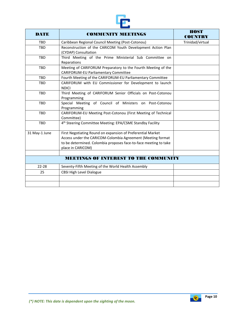

| <b>COMMUNITY MEETINGS</b>                                                                                                                                                                                           | <b>HOST</b>                                                                                                                                                      |
|---------------------------------------------------------------------------------------------------------------------------------------------------------------------------------------------------------------------|------------------------------------------------------------------------------------------------------------------------------------------------------------------|
|                                                                                                                                                                                                                     | <b>COUNTRY</b>                                                                                                                                                   |
|                                                                                                                                                                                                                     | Trinidad/virtual                                                                                                                                                 |
| (CYDAP) Consultation                                                                                                                                                                                                |                                                                                                                                                                  |
| Third Meeting of the Prime Ministerial Sub Committee on<br>Reparations                                                                                                                                              |                                                                                                                                                                  |
| Meeting of CARIFORUM Preparatory to the Fourth Meeting of the<br><b>CARIFORUM-EU Parliamentary Committee</b>                                                                                                        |                                                                                                                                                                  |
| Fourth Meeting of the CARIFORUM-EU Parliamentary Committee                                                                                                                                                          |                                                                                                                                                                  |
| CARIFORUM with EU Commissioner for Development to launch<br><b>NDICI</b>                                                                                                                                            |                                                                                                                                                                  |
| Third Meeting of CARIFORUM Senior Officials on Post-Cotonou<br>Programming                                                                                                                                          |                                                                                                                                                                  |
| Special Meeting of Council of Ministers on Post-Cotonou<br>Programming                                                                                                                                              |                                                                                                                                                                  |
| CARIFORUM-EU Meeting Post-Cotonou (First Meeting of Technical<br>Committee)                                                                                                                                         |                                                                                                                                                                  |
| 4 <sup>th</sup> Steering Committee Meeting: EPA/CSME Standby Facility                                                                                                                                               |                                                                                                                                                                  |
| First Negotiating Round on expansion of Preferential Market<br>Access under the CARICOM-Colombia Agreement (Meeting format<br>to be determined. Colombia proposes face-to-face meeting to take<br>place in CARICOM) |                                                                                                                                                                  |
|                                                                                                                                                                                                                     |                                                                                                                                                                  |
|                                                                                                                                                                                                                     |                                                                                                                                                                  |
| Seventy-Fifth Meeting of the World Health Assembly                                                                                                                                                                  |                                                                                                                                                                  |
| <b>CBSI High Level Dialogue</b>                                                                                                                                                                                     |                                                                                                                                                                  |
|                                                                                                                                                                                                                     |                                                                                                                                                                  |
|                                                                                                                                                                                                                     | Caribbean Regional Council Meeting (Post-Cotonou)<br>Reconstruction of the CARICOM Youth Development Action Plan<br><b>MEETINGS OF INTEREST TO THE COMMUNITY</b> |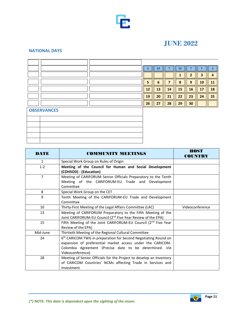

## **JUNE 2022**

#### **NATIONAL DAYS**

|                    |  | S  | M  |    | W  | т              | F                       |    |
|--------------------|--|----|----|----|----|----------------|-------------------------|----|
|                    |  |    |    |    |    | $\overline{2}$ | $\overline{\mathbf{3}}$ | 4  |
|                    |  | 5  | 6  | 7  | 8  | 9              | 10                      | 11 |
|                    |  | 12 | 13 | 14 | 15 | 16             | 17                      | 18 |
|                    |  | 19 | 20 | 21 | 22 | 23             | 24                      | 25 |
|                    |  | 26 | 27 | 28 | 29 | 30             |                         |    |
| <b>OBSERVANCES</b> |  |    |    |    |    |                |                         |    |
|                    |  |    |    |    |    |                |                         |    |
|                    |  |    |    |    |    |                |                         |    |
|                    |  |    |    |    |    |                |                         |    |
|                    |  |    |    |    |    |                |                         |    |
|                    |  |    |    |    |    |                |                         |    |

| <b>DATE</b>    | <b>COMMUNITY MEETINGS</b>                                                                                                                                                                                              | <b>HOST</b><br><b>COUNTRY</b> |
|----------------|------------------------------------------------------------------------------------------------------------------------------------------------------------------------------------------------------------------------|-------------------------------|
| $\mathbf{1}$   | Special Work Group on Rules of Origin                                                                                                                                                                                  |                               |
| $1 - 2$        | Meeting of the Council for Human and Social Development<br>(COHSOD) - (Education)                                                                                                                                      |                               |
| $\overline{7}$ | Meeting of CARIFORUM Senior Officials Preparatory to the Tenth<br>Meeting of the CARIFORUM-EU Trade and Development<br>Committee                                                                                       |                               |
| 8              | Special Work Group on the CET                                                                                                                                                                                          |                               |
| 9              | Tenth Meeting of the CARIFORUM-EU Trade and Development<br>Committee                                                                                                                                                   |                               |
| 10             | Thirty-First Meeting of the Legal Affairs Committee (LAC)                                                                                                                                                              | Videoconference               |
| 13             | Meeting of CARIFORUM Preparatory to the Fifth Meeting of the<br>Joint CARIFORUM-EU Council (2 <sup>nd</sup> Five Year Review of the EPA)                                                                               |                               |
| 15             | Fifth Meeting of the Joint CARIFORUM-EU Council (2nd Five Year<br>Review of the EPA)                                                                                                                                   |                               |
| Mid-June       | Thirtieth Meeting of the Regional Cultural Committee                                                                                                                                                                   |                               |
| 24             | 6 <sup>th</sup> CARICOM TWG in preparation for Second Negotiating Round on<br>expansion of preferential market access under the CARICOM-<br>Colombia Agreement (Precise date to be determined. Via<br>Videoconference) |                               |
| 28             | Meeting of Senior Officials for the Project to develop an Inventory<br>of CARICOM Countries' NCMs affecting Trade in Services and<br>Investment                                                                        |                               |

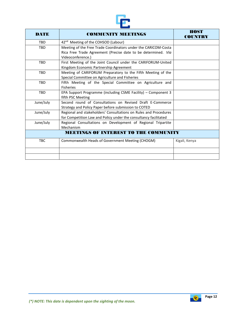

| DATE       | <b>COMMUNITY MEETINGS</b>                                                                                                                            | <b>HOST</b><br><b>COUNTRY</b> |
|------------|------------------------------------------------------------------------------------------------------------------------------------------------------|-------------------------------|
| <b>TBD</b> | 42 <sup>nd</sup> Meeting of the COHSOD (Labour)                                                                                                      |                               |
| <b>TBD</b> | Meeting of the Free Trade Coordinators under the CARICOM-Costa<br>Rica Free Trade Agreement (Precise date to be determined. Via<br>Videoconference.) |                               |
| <b>TBD</b> | First Meeting of the Joint Council under the CARIFORUM-United<br>Kingdom Economic Partnership Agreement                                              |                               |
| <b>TBD</b> | Meeting of CARIFORUM Preparatory to the Fifth Meeting of the<br>Special Committee on Agriculture and Fisheries                                       |                               |
| <b>TBD</b> | Fifth Meeting of the Special Committee on Agriculture and<br><b>Fisheries</b>                                                                        |                               |
| <b>TBD</b> | EPA Support Programme (including CSME Facility) - Component 3<br>fifth PSC Meeting                                                                   |                               |
| June/July  | Second round of Consultations on Revised Draft E-Commerce<br>Strategy and Policy Paper before submission to COTED                                    |                               |
| June/July  | Regional and stakeholders' Consultations on Rules and Procedures<br>for Competition Law and Policy under the consultancy facilitated                 |                               |
| June/July  | Regional Consultations on Development of Regional Tripartite<br>Mechanism                                                                            |                               |
|            | <b>MEETINGS OF INTEREST TO THE COMMUNITY</b>                                                                                                         |                               |
| <b>TBC</b> | Commonwealth Heads of Government Meeting (CHOGM)                                                                                                     | Kigali, Kenya                 |
|            |                                                                                                                                                      |                               |
|            |                                                                                                                                                      |                               |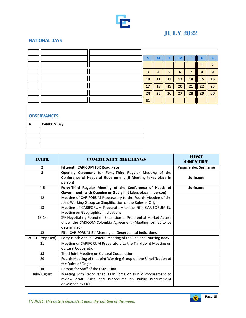

## **JULY 2022**

#### **NATIONAL DAYS**

|  |    | М  |    | w  |    |    |    |
|--|----|----|----|----|----|----|----|
|  |    |    |    |    |    |    |    |
|  | 3  | 4  | 5  | 6  |    | 8  | C  |
|  | 10 | 11 | 12 | 13 | 14 | 15 | 16 |
|  | 17 | 18 | 19 | 20 | 21 | 22 | 23 |
|  | 24 | 25 | 26 | 27 | 28 | 29 | 30 |
|  | 31 |    |    |    |    |    |    |

| <b>CARICOM Day</b> |
|--------------------|
|                    |
|                    |
|                    |
|                    |

| <b>DATE</b>             | <b>COMMUNITY MEETINGS</b>                                                                                               | <b>HOST</b><br><b>COUNTRY</b> |
|-------------------------|-------------------------------------------------------------------------------------------------------------------------|-------------------------------|
| $\overline{2}$          | <b>Fifteenth CARICOM 10K Road Race</b>                                                                                  | Paramaribo, Suriname          |
| $\overline{\mathbf{3}}$ | Opening Ceremony for Forty-Third Regular Meeting of the<br>Conference of Heads of Government (if Meeting takes place in | <b>Suriname</b>               |
|                         | person)                                                                                                                 |                               |
| $4 - 5$                 | Forty-Third Regular Meeting of the Conference of Heads of                                                               | <b>Suriname</b>               |
|                         | Government (with Opening on 3 July if it takes place in person)                                                         |                               |
| 12                      | Meeting of CARIFORUM Preparatory to the Fourth Meeting of the                                                           |                               |
|                         | Joint Working Group on Simplification of the Rules of Origin                                                            |                               |
| 13                      | Meeting of CARIFORUM Preparatory to the Fifth CARIFORUM-EU                                                              |                               |
|                         | Meeting on Geographical Indications                                                                                     |                               |
| $13 - 14$               | 2 <sup>nd</sup> Negotiating Round on Expansion of Preferential Market Access                                            |                               |
|                         | under the CARICOM-Colombia Agreement (Meeting format to be                                                              |                               |
|                         | determined)                                                                                                             |                               |
| 15                      | Fifth CARIFORUM-EU Meeting on Geographical Indications                                                                  |                               |
| 20-21 (Proposed)        | Forty-Ninth Annual General Meeting of the Regional Nursing Body                                                         |                               |
| 21                      | Meeting of CARIFORUM Preparatory to the Third Joint Meeting on                                                          |                               |
|                         | <b>Cultural Cooperation</b>                                                                                             |                               |
| 22                      | Third Joint Meeting on Cultural Cooperation                                                                             |                               |
| 29                      | Fourth Meeting of the Joint Working Group on the Simplification of                                                      |                               |
|                         | the Rules of Origin                                                                                                     |                               |
| <b>TBD</b>              | Retreat for Staff of the CSME Unit                                                                                      |                               |
| July/August             | Meeting with Reconvened Task Force on Public Procurement to                                                             |                               |
|                         | review draft Rules and Procedures on Public Procurement                                                                 |                               |
|                         | developed by OGC                                                                                                        |                               |

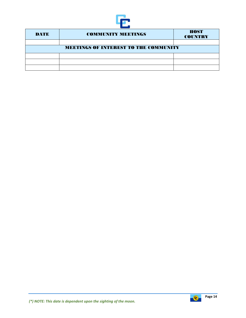

| <b>DATE</b> | <b>COMMUNITY MEETINGS</b>                    |  |  |  |  |  |  |  |
|-------------|----------------------------------------------|--|--|--|--|--|--|--|
|             |                                              |  |  |  |  |  |  |  |
|             | <b>MEETINGS OF INTEREST TO THE COMMUNITY</b> |  |  |  |  |  |  |  |
|             |                                              |  |  |  |  |  |  |  |
|             |                                              |  |  |  |  |  |  |  |
|             |                                              |  |  |  |  |  |  |  |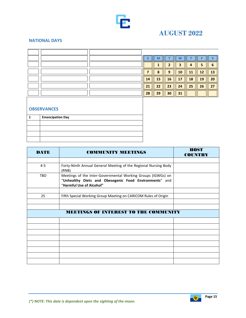

## **AUGUST 2022**

#### **NATIONAL DAYS**

|  |    | $\bullet$ | q  | 10 | 11 | 12 | Þ  |
|--|----|-----------|----|----|----|----|----|
|  | 14 | 15        | 16 | 17 | 18 | 19 | 20 |
|  | 21 | 22        | 23 | 24 | 25 | 26 | 27 |
|  | 28 | 29        | 30 | 31 |    |    |    |

| <b>Emancipation Day</b> |
|-------------------------|
|                         |
|                         |
|                         |
|                         |

| <b>DATE</b> | <b>COMMUNITY MEETINGS</b>                                                                                                                          | <b>HOST</b><br><b>COUNTRY</b> |
|-------------|----------------------------------------------------------------------------------------------------------------------------------------------------|-------------------------------|
|             |                                                                                                                                                    |                               |
| $4 - 5$     | Forty-Ninth Annual General Meeting of the Regional Nursing Body<br>(RNB)                                                                           |                               |
| <b>TBD</b>  | Meetings of the Inter-Governmental Working Groups (IGWGs) on<br>"Unhealthy Diets and Obesogenic Food Environments" and<br>"Harmful Use of Alcohol" |                               |
|             |                                                                                                                                                    |                               |
| 25          | Fifth Special Working Group Meeting on CARICOM Rules of Origin                                                                                     |                               |
|             |                                                                                                                                                    |                               |
|             |                                                                                                                                                    |                               |
|             | <b>MEETINGS OF INTEREST TO THE COMMUNITY</b>                                                                                                       |                               |
|             |                                                                                                                                                    |                               |
|             |                                                                                                                                                    |                               |
|             |                                                                                                                                                    |                               |
|             |                                                                                                                                                    |                               |
|             |                                                                                                                                                    |                               |
|             |                                                                                                                                                    |                               |
|             |                                                                                                                                                    |                               |
|             |                                                                                                                                                    |                               |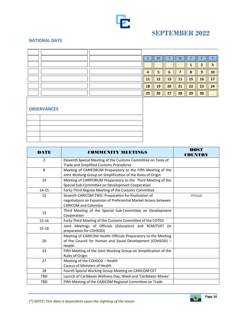

## **SEPTEMBER 2022**

#### **NATIONAL DAYS**

|  |    | M  |    |    |           |              |    |
|--|----|----|----|----|-----------|--------------|----|
|  |    |    |    |    |           |              |    |
|  |    |    | n  |    | $\bullet$ | $\mathbf{a}$ | Ю  |
|  | ᅩ  | 12 | 13 | 11 | 15        | 16           |    |
|  | 18 | 19 | 20 | 21 | 22        | 23           | 24 |
|  | 25 | 26 | 27 | 28 | 29        | 30           |    |

| DATE           | <b>COMMUNITY MEETINGS</b>                                         | <b>HOST</b><br><b>COUNTRY</b> |
|----------------|-------------------------------------------------------------------|-------------------------------|
| $\overline{2}$ | Eleventh Special Meeting of the Customs Committee on Tools of     |                               |
|                | Trade and Simplified Customs Procedures                           |                               |
| 8              | Meeting of CARIFORUM Preparatory to the Fifth Meeting of the      |                               |
|                | Joint Working Group on Simplification of the Rules of Origin      |                               |
| 14             | Meeting of CARIFORUM Preparatory to the Third Meeting of the      |                               |
|                | Special Sub-Committee on Development Cooperation                  |                               |
| $14 - 15$      | Forty-Third Regular Meeting of the Customs Committee              |                               |
| 15             | Seventh CARICOM TWG: Preparation for finalization of              | Virtual                       |
|                | negotiations on Expansion of Preferential Market Access between   |                               |
|                | <b>CARICOM and Colombia</b>                                       |                               |
| 15             | Third Meeting of the Special Sub-Committee on Development         |                               |
|                | Cooperation                                                       |                               |
| $15 - 16$      | Forty-Third Meeting of the Customs Committee of the COTED         |                               |
| 15-16          | Joint Meetings of Officials (Education) and RCM/TVET (in          |                               |
|                | preparation for COHSOD)                                           |                               |
|                | Meeting of CARICOM Health Officials Preparatory to the Meeting    |                               |
| 20             | of the Council for Human and Social Development (COHSOD) -        |                               |
|                | Health                                                            |                               |
| 23             | Fifth Meeting of the Joint Working Group on Simplification of the |                               |
|                | Rules of Origin                                                   |                               |
| 27             | Meeting of the COHSOD - Health                                    |                               |
|                | Caucus of Ministers of Health                                     |                               |
| 28             | Fourth Special Working Group Meeting on CARICOM CET               |                               |
| TBD            | Launch of Caribbean Wellness Day, Week and 'Caribbean Moves'      |                               |
| TBD            | Fifth Meeting of the CARICOM Regional Committee on Trade          |                               |

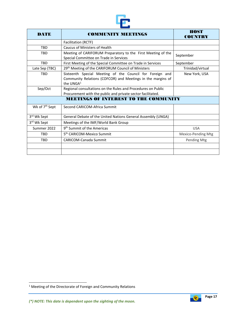

| <b>DATE</b>                | <b>COMMUNITY MEETINGS</b>                                                                                                               | <b>HOST</b><br><b>COUNTRY</b> |  |  |
|----------------------------|-----------------------------------------------------------------------------------------------------------------------------------------|-------------------------------|--|--|
|                            | Facilitation (RCTF)                                                                                                                     |                               |  |  |
| <b>TBD</b>                 | Caucus of Ministers of Health                                                                                                           |                               |  |  |
| <b>TBD</b>                 | Meeting of CARIFORUM Preparatory to the First Meeting of the<br>Special Committee on Trade in Services                                  | September                     |  |  |
| <b>TBD</b>                 | First Meeting of the Special Committee on Trade in Services                                                                             |                               |  |  |
| Late Sep (TBC)             | 29th Meeting of the CARIFORUM Council of Ministers                                                                                      | Trinidad/virtual              |  |  |
| <b>TRD</b>                 | Sixteenth Special Meeting of the Council for Foreign and<br>Community Relations (COFCOR) and Meetings in the margins of<br>the UNG $A1$ | New York, USA                 |  |  |
| Sep/Oct                    | Regional consultations on the Rules and Procedures on Public<br>Procurement with the public and private sector facilitated.             |                               |  |  |
|                            | <b>MEETINGS OF INTEREST TO THE COMMUNITY</b>                                                                                            |                               |  |  |
| Wk of 7 <sup>th</sup> Sept | Second CARICOM-Africa Summit                                                                                                            |                               |  |  |
| 3rd Wk Sept                | General Debate of the United Nations General Assembly (UNGA)                                                                            |                               |  |  |
| 3 <sup>rd</sup> Wk Sept    | Meetings of the IMF/World Bank Group                                                                                                    |                               |  |  |
| Summer 2022                | 9 <sup>th</sup> Summit of the Americas                                                                                                  | <b>USA</b>                    |  |  |
| <b>TBD</b>                 | 5 <sup>th</sup> CARICOM-Mexico Summit                                                                                                   | Mexico-Pending Mtg            |  |  |
| <b>TBD</b>                 | <b>CARICOM-Canada Summit</b>                                                                                                            | Pending Mtg                   |  |  |
|                            |                                                                                                                                         |                               |  |  |
|                            |                                                                                                                                         |                               |  |  |



<sup>1</sup> Meeting of the Directorate of Foreign and Community Relations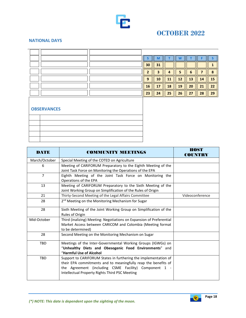

## **OCTOBER 2022**

#### **NATIONAL DAYS**

|  | 30 | 31 |    |    |    |    |        |
|--|----|----|----|----|----|----|--------|
|  | n  | ર  |    |    | ь  | -  | $\sim$ |
|  | 9  | 10 | 11 | 12 | 13 | 14 | 15     |
|  | 16 | 17 | 18 | 19 | 20 | 21 | 22     |
|  | 23 | 24 | 25 | 26 | 27 | 28 | 29     |

| the control of the control of the                                                                                                                                                                                              |  |
|--------------------------------------------------------------------------------------------------------------------------------------------------------------------------------------------------------------------------------|--|
| and the contract of the contract of the contract of the contract of the contract of the contract of the contract of the contract of the contract of the contract of the contract of the contract of the contract of the contra |  |
|                                                                                                                                                                                                                                |  |
|                                                                                                                                                                                                                                |  |
|                                                                                                                                                                                                                                |  |
|                                                                                                                                                                                                                                |  |

| <b>DATE</b>    | <b>COMMUNITY MEETINGS</b>                                                                                                                                                                                                                    | HOST<br>COUNTRY |
|----------------|----------------------------------------------------------------------------------------------------------------------------------------------------------------------------------------------------------------------------------------------|-----------------|
| March/October  | Special Meeting of the COTED on Agriculture                                                                                                                                                                                                  |                 |
| 6              | Meeting of CARIFORUM Preparatory to the Eighth Meeting of the<br>Joint Task Force on Monitoring the Operations of the EPA                                                                                                                    |                 |
| $\overline{7}$ | Eighth Meeting of the Joint Task Force on Monitoring the<br>Operations of the EPA                                                                                                                                                            |                 |
| 13             | Meeting of CARIFORUM Preparatory to the Sixth Meeting of the<br>Joint Working Group on Simplification of the Rules of Origin                                                                                                                 |                 |
| 21             | Thirty-Second Meeting of the Legal Affairs Committee                                                                                                                                                                                         | Videoconference |
| 28             | 2 <sup>nd</sup> Meeting on the Monitoring Mechanism for Sugar                                                                                                                                                                                |                 |
| 28             | Sixth Meeting of the Joint Working Group on Simplification of the<br>Rules of Origin                                                                                                                                                         |                 |
| Mid-October    | Third (inalizing) Meeting: Negotiations on Expansion of Preferential<br>Market Access between CARICOM and Colombia (Meeting format<br>to be determined)                                                                                      |                 |
| 28             | Second Meeting on the Monitoring Mechanism on Sugar                                                                                                                                                                                          |                 |
| <b>TBD</b>     | Meetings of the Inter-Governmental Working Groups (IGWGs) on<br>"Unhealthy Diets and Obesogenic Food Environments" and<br>"Harmful Use of Alcohol                                                                                            |                 |
| <b>TBD</b>     | Support to CARIFORUM States in furthering the implementation of<br>their EPA commitments and to meaningfully reap the benefits of<br>the Agreement (including CSME Facility) Component 1 -<br>Intellectual Property Rights Third PSC Meeting |                 |

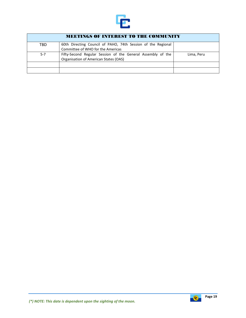

| <b>MEETINGS OF INTEREST TO THE COMMUNITY</b> |                                                                                                   |            |  |  |  |  |
|----------------------------------------------|---------------------------------------------------------------------------------------------------|------------|--|--|--|--|
| TBD                                          | 60th Directing Council of PAHO, 74th Session of the Regional<br>Committee of WHO for the Americas |            |  |  |  |  |
|                                              |                                                                                                   |            |  |  |  |  |
| $5 - 7$                                      | Fifty-Second Regular Session of the General Assembly of the                                       | Lima, Peru |  |  |  |  |
|                                              | Organisation of American States (OAS)                                                             |            |  |  |  |  |
|                                              |                                                                                                   |            |  |  |  |  |
|                                              |                                                                                                   |            |  |  |  |  |

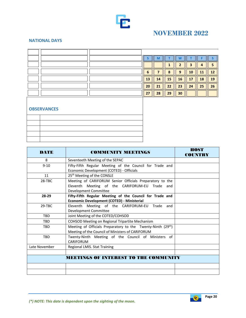

## **NOVEMBER 2022**

### **NATIONAL DAYS**

|  | 6  |    | $\bullet$ | q  | 10 | $\bf{11}$ |    |
|--|----|----|-----------|----|----|-----------|----|
|  | 13 | 14 | 15        | 16 | 17 | 18        | 19 |
|  | 20 | 21 | 22        | 23 | 24 | 25        | 26 |
|  | 27 | 28 | 29        | 30 |    |           |    |

| DATE          | <b>COMMUNITY MEETINGS</b>                                   | <b>HOST</b><br><b>COUNTRY</b> |
|---------------|-------------------------------------------------------------|-------------------------------|
| 8             | Seventeeth Meeting of the SEPAC                             |                               |
| $9 - 10$      | Fifty-Fifth Regular Meeting of the Council for Trade and    |                               |
|               | Economic Development (COTED) - Officials                    |                               |
| 11            | 25 <sup>th</sup> Meeting of the CONSLE                      |                               |
| 28-TBC        | Meeting of CARIFORUM Senior Officials Preparatory to the    |                               |
|               | Eleventh Meeting of the CARIFORUM-EU Trade and              |                               |
|               | Development Committee                                       |                               |
| 28-29         | Fifty-Fifth Regular Meeting of the Council for Trade and    |                               |
|               | Economic Development (COTED) - Ministerial                  |                               |
| 29-TBC        | Eleventh Meeting of the CARIFORUM-EU Trade and              |                               |
|               | Development Committee                                       |                               |
| <b>TBD</b>    | Joint Meeting of the COTED/COHSOD                           |                               |
| <b>TBD</b>    | COHSOD Meeting on Regional Tripartite Mechanism             |                               |
| <b>TBD</b>    | Meeting of Officials Preparatory to the Twenty-Ninth (29th) |                               |
|               | Meeting of the Council of Ministers of CARIFORUM            |                               |
| <b>TBD</b>    | Twenty-Ninth Meeting of the Council of Ministers of         |                               |
|               | CARIFORUM                                                   |                               |
| Late November | Regional LMIS. Stat Training                                |                               |
|               |                                                             |                               |
|               | MEETINGS OF INTEREST TO THE COMMUNITY                       |                               |
|               |                                                             |                               |
|               |                                                             |                               |